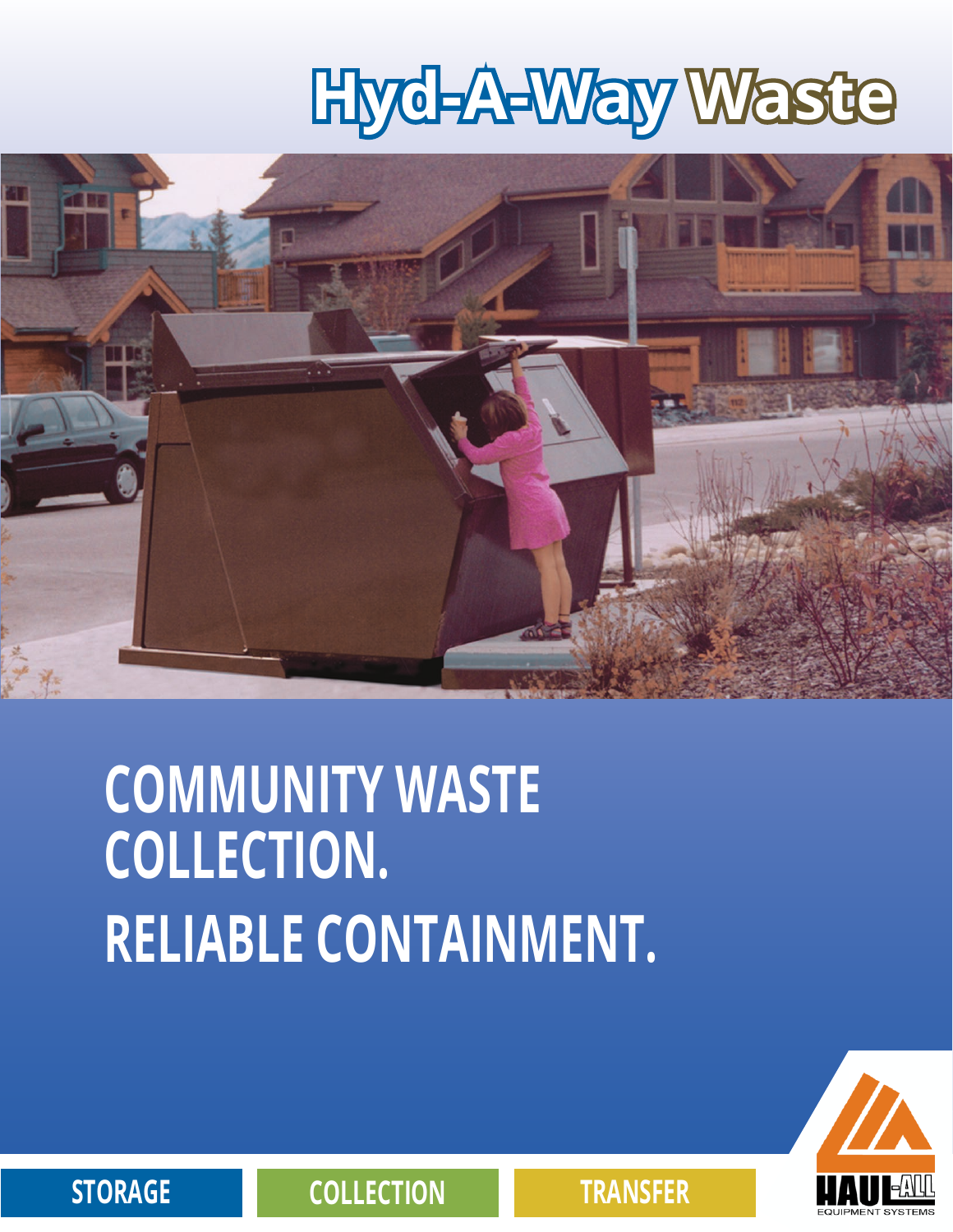# **Hyd-A-Way Waste**



## **COMMUNITY WASTE COLLECTION. RELIABLE CONTAINMENT.**



**STORAGE COLLECTION TRANSFER**